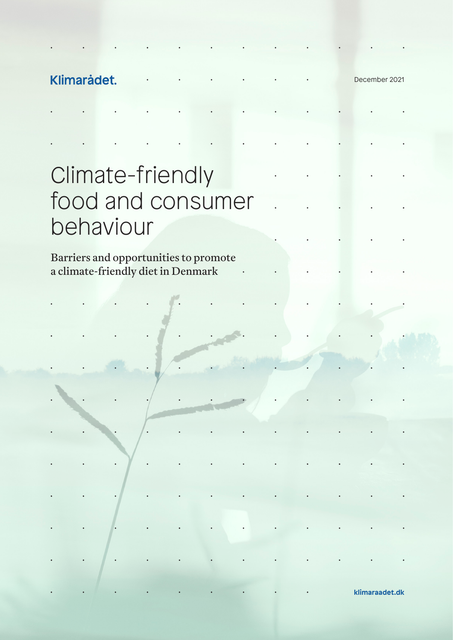December 2021

# Climate-friendly food and consumer behaviour

Barriers and opportunities to promote a climate-friendly diet in Denmark

 $\ddot{\phantom{0}}$ 

**klimaraadet.dk**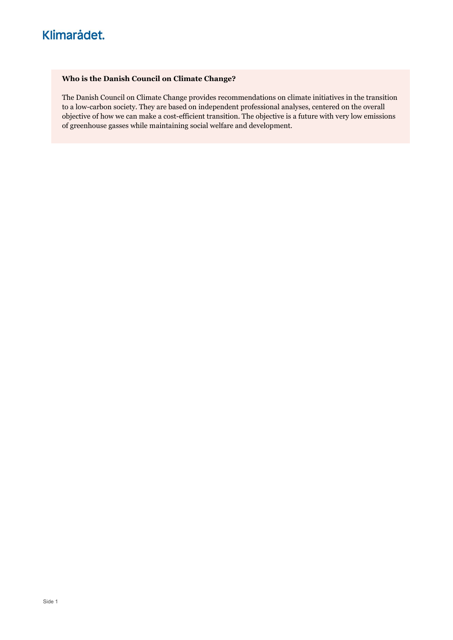### Who is the Danish Council on Climate Change?

The Danish Council on Climate Change provides recommendations on climate initiatives in the transition to a low-carbon society. They are based on independent professional analyses, centered on the overall objective of how we can make a cost-efficient transition. The objective is a future with very low emissions of greenhouse gasses while maintaining social welfare and development.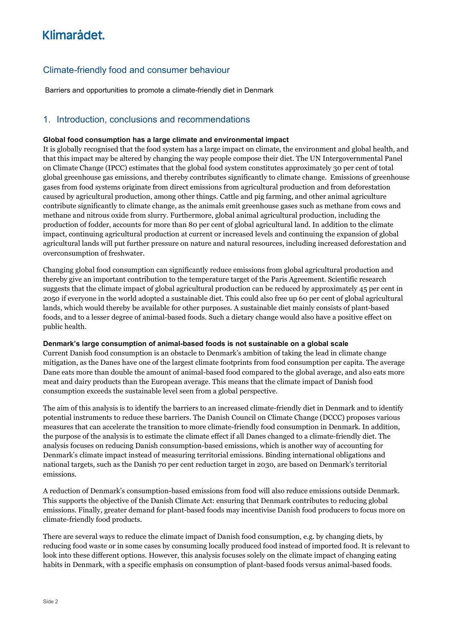### Climate-friendly food and consumer behaviour

Barriers and opportunities to promote a climate-friendly diet in Denmark

### 1. Introduction, conclusions and recommendations

### Global food consumption has a large climate and environmental impact

It is globally recognised that the food system has a large impact on climate, the environment and global health, and that this impact may be altered by changing the way people compose their diet. The UN Intergovernmental Panel on Climate Change (IPCC) estimates that the global food system constitutes approximately 30 per cent of total global greenhouse gas emissions, and thereby contributes significantly to climate change. Emissions of greenhouse gases from food systems originate from direct emissions from agricultural production and from deforestation caused by agricultural production, among other things. Cattle and pig farming, and other animal agriculture contribute significantly to climate change, as the animals emit greenhouse gases such as methane from cows and methane and nitrous oxide from slurry. Furthermore, global animal agricultural production, including the production of fodder, accounts for more than 80 per cent of global agricultural land. In addition to the climate impact, continuing agricultural production at current or increased levels and continuing the expansion of global agricultural lands will put further pressure on nature and natural resources, including increased deforestation and overconsumption of freshwater.

Changing global food consumption can significantly reduce emissions from global agricultural production and thereby give an important contribution to the temperature target of the Paris Agreement. Scientific research suggests that the climate impact of global agricultural production can be reduced by approximately 45 per cent in 2050 if everyone in the world adopted a sustainable diet. This could also free up 60 per cent of global agricultural lands, which would thereby be available for other purposes. A sustainable diet mainly consists of plant-based foods, and to a lesser degree of animal-based foods. Such a dietary change would also have a positive effect on public health.

#### Denmark's large consumption of animal-based foods is not sustainable on a global scale

Current Danish food consumption is an obstacle to Denmark's ambition of taking the lead in climate change mitigation, as the Danes have one of the largest climate footprints from food consumption per capita. The average Dane eats more than double the amount of animal-based food compared to the global average, and also eats more meat and dairy products than the European average. This means that the climate impact of Danish food consumption exceeds the sustainable level seen from a global perspective.

The aim of this analysis is to identify the barriers to an increased climate-friendly diet in Denmark and to identify potential instruments to reduce these barriers. The Danish Council on Climate Change (DCCC) proposes various measures that can accelerate the transition to more climate-friendly food consumption in Denmark. In addition, the purpose of the analysis is to estimate the climate effect if all Danes changed to a climate-friendly diet. The analysis focuses on reducing Danish consumption-based emissions, which is another way of accounting for Denmark's climate impact instead of measuring territorial emissions. Binding international obligations and national targets, such as the Danish 70 per cent reduction target in 2030, are based on Denmark's territorial emissions.

A reduction of Denmark's consumption-based emissions from food will also reduce emissions outside Denmark. This supports the objective of the Danish Climate Act: ensuring that Denmark contributes to reducing global emissions. Finally, greater demand for plant-based foods may incentivise Danish food producers to focus more on climate-friendly food products.

There are several ways to reduce the climate impact of Danish food consumption, e.g. by changing diets, by reducing food waste or in some cases by consuming locally produced food instead of imported food. It is relevant to look into these different options. However, this analysis focuses solely on the climate impact of changing eating habits in Denmark, with a specific emphasis on consumption of plant-based foods versus animal-based foods.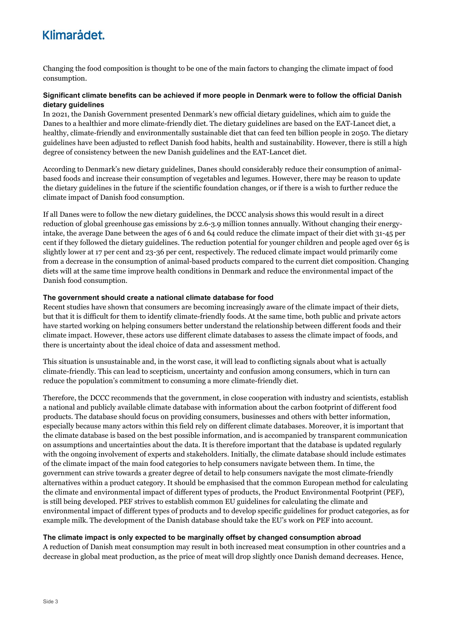Changing the food composition is thought to be one of the main factors to changing the climate impact of food consumption.

### Significant climate benefits can be achieved if more people in Denmark were to follow the official Danish dietary guidelines

In 2021, the Danish Government presented Denmark's new official dietary guidelines, which aim to guide the Danes to a healthier and more climate-friendly diet. The dietary guidelines are based on the EAT-Lancet diet, a healthy, climate-friendly and environmentally sustainable diet that can feed ten billion people in 2050. The dietary guidelines have been adjusted to reflect Danish food habits, health and sustainability. However, there is still a high degree of consistency between the new Danish guidelines and the EAT-Lancet diet.

According to Denmark's new dietary guidelines, Danes should considerably reduce their consumption of animalbased foods and increase their consumption of vegetables and legumes. However, there may be reason to update the dietary guidelines in the future if the scientific foundation changes, or if there is a wish to further reduce the climate impact of Danish food consumption.

If all Danes were to follow the new dietary guidelines, the DCCC analysis shows this would result in a direct reduction of global greenhouse gas emissions by 2.6-3.9 million tonnes annually. Without changing their energyintake, the average Dane between the ages of 6 and 64 could reduce the climate impact of their diet with 31-45 per cent if they followed the dietary guidelines. The reduction potential for younger children and people aged over 65 is slightly lower at 17 per cent and 23-36 per cent, respectively. The reduced climate impact would primarily come from a decrease in the consumption of animal-based products compared to the current diet composition. Changing diets will at the same time improve health conditions in Denmark and reduce the environmental impact of the Danish food consumption.

#### The government should create a national climate database for food

Recent studies have shown that consumers are becoming increasingly aware of the climate impact of their diets, but that it is difficult for them to identify climate-friendly foods. At the same time, both public and private actors have started working on helping consumers better understand the relationship between different foods and their climate impact. However, these actors use different climate databases to assess the climate impact of foods, and there is uncertainty about the ideal choice of data and assessment method.

This situation is unsustainable and, in the worst case, it will lead to conflicting signals about what is actually climate-friendly. This can lead to scepticism, uncertainty and confusion among consumers, which in turn can reduce the population's commitment to consuming a more climate-friendly diet.

Therefore, the DCCC recommends that the government, in close cooperation with industry and scientists, establish a national and publicly available climate database with information about the carbon footprint of different food products. The database should focus on providing consumers, businesses and others with better information, especially because many actors within this field rely on different climate databases. Moreover, it is important that the climate database is based on the best possible information, and is accompanied by transparent communication on assumptions and uncertainties about the data. It is therefore important that the database is updated regularly with the ongoing involvement of experts and stakeholders. Initially, the climate database should include estimates of the climate impact of the main food categories to help consumers navigate between them. In time, the government can strive towards a greater degree of detail to help consumers navigate the most climate-friendly alternatives within a product category. It should be emphasised that the common European method for calculating the climate and environmental impact of different types of products, the Product Environmental Footprint (PEF), is still being developed. PEF strives to establish common EU guidelines for calculating the climate and environmental impact of different types of products and to develop specific guidelines for product categories, as for example milk. The development of the Danish database should take the EU's work on PEF into account.

#### The climate impact is only expected to be marginally offset by changed consumption abroad

A reduction of Danish meat consumption may result in both increased meat consumption in other countries and a decrease in global meat production, as the price of meat will drop slightly once Danish demand decreases. Hence,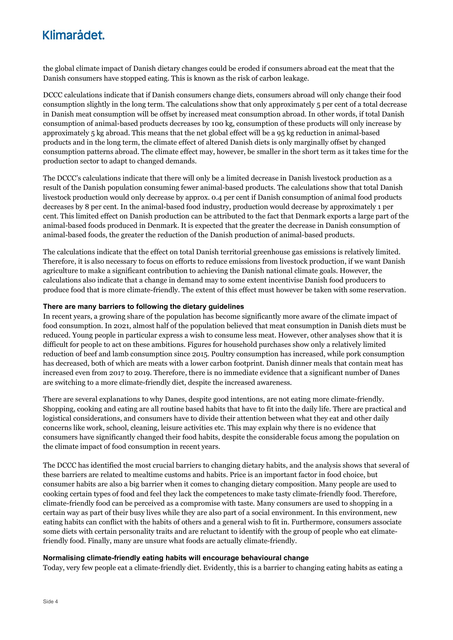the global climate impact of Danish dietary changes could be eroded if consumers abroad eat the meat that the Danish consumers have stopped eating. This is known as the risk of carbon leakage.

DCCC calculations indicate that if Danish consumers change diets, consumers abroad will only change their food consumption slightly in the long term. The calculations show that only approximately 5 per cent of a total decrease in Danish meat consumption will be offset by increased meat consumption abroad. In other words, if total Danish consumption of animal-based products decreases by 100 kg, consumption of these products will only increase by approximately 5 kg abroad. This means that the net global effect will be a 95 kg reduction in animal-based products and in the long term, the climate effect of altered Danish diets is only marginally offset by changed consumption patterns abroad. The climate effect may, however, be smaller in the short term as it takes time for the production sector to adapt to changed demands.

The DCCC's calculations indicate that there will only be a limited decrease in Danish livestock production as a result of the Danish population consuming fewer animal-based products. The calculations show that total Danish livestock production would only decrease by approx. 0.4 per cent if Danish consumption of animal food products decreases by 8 per cent. In the animal-based food industry, production would decrease by approximately 1 per cent. This limited effect on Danish production can be attributed to the fact that Denmark exports a large part of the animal-based foods produced in Denmark. It is expected that the greater the decrease in Danish consumption of animal-based foods, the greater the reduction of the Danish production of animal-based products.

The calculations indicate that the effect on total Danish territorial greenhouse gas emissions is relatively limited. Therefore, it is also necessary to focus on efforts to reduce emissions from livestock production, if we want Danish agriculture to make a significant contribution to achieving the Danish national climate goals. However, the calculations also indicate that a change in demand may to some extent incentivise Danish food producers to produce food that is more climate-friendly. The extent of this effect must however be taken with some reservation.

### There are many barriers to following the dietary guidelines

In recent years, a growing share of the population has become significantly more aware of the climate impact of food consumption. In 2021, almost half of the population believed that meat consumption in Danish diets must be reduced. Young people in particular express a wish to consume less meat. However, other analyses show that it is difficult for people to act on these ambitions. Figures for household purchases show only a relatively limited reduction of beef and lamb consumption since 2015. Poultry consumption has increased, while pork consumption has decreased, both of which are meats with a lower carbon footprint. Danish dinner meals that contain meat has increased even from 2017 to 2019. Therefore, there is no immediate evidence that a significant number of Danes are switching to a more climate-friendly diet, despite the increased awareness.

There are several explanations to why Danes, despite good intentions, are not eating more climate-friendly. Shopping, cooking and eating are all routine based habits that have to fit into the daily life. There are practical and logistical considerations, and consumers have to divide their attention between what they eat and other daily concerns like work, school, cleaning, leisure activities etc. This may explain why there is no evidence that consumers have significantly changed their food habits, despite the considerable focus among the population on the climate impact of food consumption in recent years.

The DCCC has identified the most crucial barriers to changing dietary habits, and the analysis shows that several of these barriers are related to mealtime customs and habits. Price is an important factor in food choice, but consumer habits are also a big barrier when it comes to changing dietary composition. Many people are used to cooking certain types of food and feel they lack the competences to make tasty climate-friendly food. Therefore, climate-friendly food can be perceived as a compromise with taste. Many consumers are used to shopping in a certain way as part of their busy lives while they are also part of a social environment. In this environment, new eating habits can conflict with the habits of others and a general wish to fit in. Furthermore, consumers associate some diets with certain personality traits and are reluctant to identify with the group of people who eat climatefriendly food. Finally, many are unsure what foods are actually climate-friendly.

#### Normalising climate-friendly eating habits will encourage behavioural change

Today, very few people eat a climate-friendly diet. Evidently, this is a barrier to changing eating habits as eating a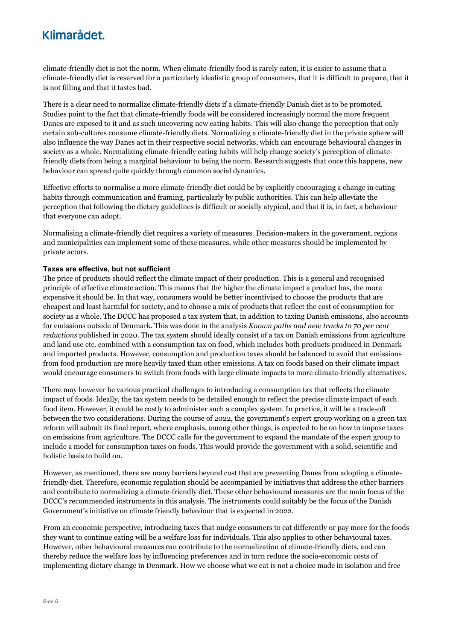climate-friendly diet is not the norm. When climate-friendly food is rarely eaten, it is easier to assume that a climate-friendly diet is reserved for a particularly idealistic group of consumers, that it is difficult to prepare, that it is not filling and that it tastes bad.

There is a clear need to normalize climate-friendly diets if a climate-friendly Danish diet is to be promoted. Studies point to the fact that climate-friendly foods will be considered increasingly normal the more frequent Danes are exposed to it and as such uncovering new eating habits. This will also change the perception that only certain sub-cultures consume climate-friendly diets. Normalizing a climate-friendly diet in the private sphere will also influence the way Danes act in their respective social networks, which can encourage behavioural changes in society as a whole. Normalizing climate-friendly eating habits will help change society's perception of climatefriendly diets from being a marginal behaviour to being the norm. Research suggests that once this happens, new behaviour can spread quite quickly through common social dynamics.

Effective efforts to normalise a more climate-friendly diet could be by explicitly encouraging a change in eating habits through communication and framing, particularly by public authorities. This can help alleviate the perception that following the dietary guidelines is difficult or socially atypical, and that it is, in fact, a behaviour that everyone can adopt.

Normalising a climate-friendly diet requires a variety of measures. Decision-makers in the government, regions and municipalities can implement some of these measures, while other measures should be implemented by private actors.

### Taxes are effective, but not sufficient

The price of products should reflect the climate impact of their production. This is a general and recognised principle of effective climate action. This means that the higher the climate impact a product has, the more expensive it should be. In that way, consumers would be better incentivised to choose the products that are cheapest and least harmful for society, and to choose a mix of products that reflect the cost of consumption for society as a whole. The DCCC has proposed a tax system that, in addition to taxing Danish emissions, also accounts for emissions outside of Denmark. This was done in the analysis Known paths and new tracks to 70 per cent reductions published in 2020. The tax system should ideally consist of a tax on Danish emissions from agriculture and land use etc. combined with a consumption tax on food, which includes both products produced in Denmark and imported products. However, consumption and production taxes should be balanced to avoid that emissions from food production are more heavily taxed than other emissions. A tax on foods based on their climate impact would encourage consumers to switch from foods with large climate impacts to more climate-friendly alternatives.

There may however be various practical challenges to introducing a consumption tax that reflects the climate impact of foods. Ideally, the tax system needs to be detailed enough to reflect the precise climate impact of each food item. However, it could be costly to administer such a complex system. In practice, it will be a trade-off between the two considerations. During the course of 2022, the government's expert group working on a green tax reform will submit its final report, where emphasis, among other things, is expected to be on how to impose taxes on emissions from agriculture. The DCCC calls for the government to expand the mandate of the expert group to include a model for consumption taxes on foods. This would provide the government with a solid, scientific and holistic basis to build on.

However, as mentioned, there are many barriers beyond cost that are preventing Danes from adopting a climatefriendly diet. Therefore, economic regulation should be accompanied by initiatives that address the other barriers and contribute to normalizing a climate-friendly diet. These other behavioural measures are the main focus of the DCCC's recommended instruments in this analysis. The instruments could suitably be the focus of the Danish Government's initiative on climate friendly behaviour that is expected in 2022.

From an economic perspective, introducing taxes that nudge consumers to eat differently or pay more for the foods they want to continue eating will be a welfare loss for individuals. This also applies to other behavioural taxes. However, other behavioural measures can contribute to the normalization of climate-friendly diets, and can thereby reduce the welfare loss by influencing preferences and in turn reduce the socio-economic costs of implementing dietary change in Denmark. How we choose what we eat is not a choice made in isolation and free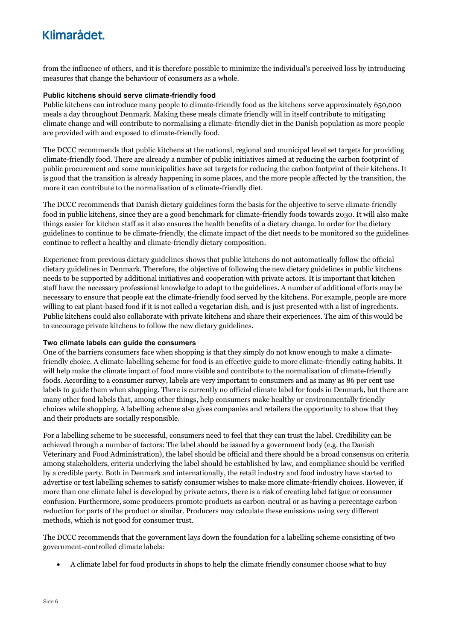from the influence of others, and it is therefore possible to minimize the individual's perceived loss by introducing measures that change the behaviour of consumers as a whole.

#### Public kitchens should serve climate-friendly food

Public kitchens can introduce many people to climate-friendly food as the kitchens serve approximately 650,000 meals a day throughout Denmark. Making these meals climate friendly will in itself contribute to mitigating climate change and will contribute to normalising a climate-friendly diet in the Danish population as more people are provided with and exposed to climate-friendly food.

The DCCC recommends that public kitchens at the national, regional and municipal level set targets for providing climate-friendly food. There are already a number of public initiatives aimed at reducing the carbon footprint of public procurement and some municipalities have set targets for reducing the carbon footprint of their kitchens. It is good that the transition is already happening in some places, and the more people affected by the transition, the more it can contribute to the normalisation of a climate-friendly diet.

The DCCC recommends that Danish dietary guidelines form the basis for the objective to serve climate-friendly food in public kitchens, since they are a good benchmark for climate-friendly foods towards 2030. It will also make things easier for kitchen staff as it also ensures the health benefits of a dietary change. In order for the dietary guidelines to continue to be climate-friendly, the climate impact of the diet needs to be monitored so the guidelines continue to reflect a healthy and climate-friendly dietary composition.

Experience from previous dietary guidelines shows that public kitchens do not automatically follow the official dietary guidelines in Denmark. Therefore, the objective of following the new dietary guidelines in public kitchens needs to be supported by additional initiatives and cooperation with private actors. It is important that kitchen staff have the necessary professional knowledge to adapt to the guidelines. A number of additional efforts may be necessary to ensure that people eat the climate-friendly food served by the kitchens. For example, people are more willing to eat plant-based food if it is not called a vegetarian dish, and is just presented with a list of ingredients. Public kitchens could also collaborate with private kitchens and share their experiences. The aim of this would be to encourage private kitchens to follow the new dietary guidelines.

### Two climate labels can guide the consumers

One of the barriers consumers face when shopping is that they simply do not know enough to make a climatefriendly choice. A climate-labelling scheme for food is an effective guide to more climate-friendly eating habits. It will help make the climate impact of food more visible and contribute to the normalisation of climate-friendly foods. According to a consumer survey, labels are very important to consumers and as many as 86 per cent use labels to guide them when shopping. There is currently no official climate label for foods in Denmark, but there are many other food labels that, among other things, help consumers make healthy or environmentally friendly choices while shopping. A labelling scheme also gives companies and retailers the opportunity to show that they and their products are socially responsible.

For a labelling scheme to be successful, consumers need to feel that they can trust the label. Credibility can be achieved through a number of factors: The label should be issued by a government body (e.g. the Danish Veterinary and Food Administration), the label should be official and there should be a broad consensus on criteria among stakeholders, criteria underlying the label should be established by law, and compliance should be verified by a credible party. Both in Denmark and internationally, the retail industry and food industry have started to advertise or test labelling schemes to satisfy consumer wishes to make more climate-friendly choices. However, if more than one climate label is developed by private actors, there is a risk of creating label fatigue or consumer confusion. Furthermore, some producers promote products as carbon-neutral or as having a percentage carbon reduction for parts of the product or similar. Producers may calculate these emissions using very different methods, which is not good for consumer trust.

The DCCC recommends that the government lays down the foundation for a labelling scheme consisting of two government-controlled climate labels:

A climate label for food products in shops to help the climate friendly consumer choose what to buy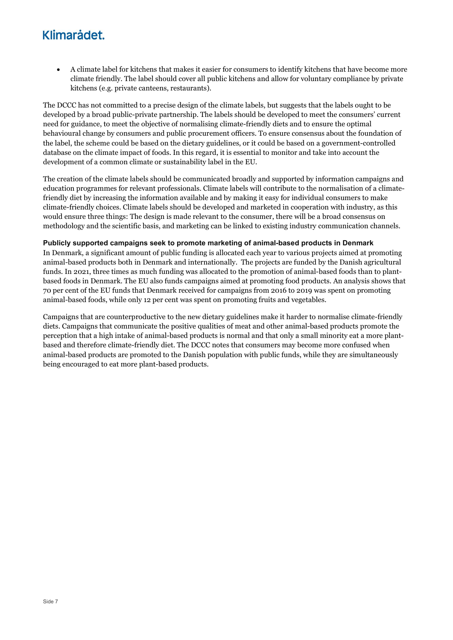A climate label for kitchens that makes it easier for consumers to identify kitchens that have become more climate friendly. The label should cover all public kitchens and allow for voluntary compliance by private kitchens (e.g. private canteens, restaurants).

The DCCC has not committed to a precise design of the climate labels, but suggests that the labels ought to be developed by a broad public-private partnership. The labels should be developed to meet the consumers' current need for guidance, to meet the objective of normalising climate-friendly diets and to ensure the optimal behavioural change by consumers and public procurement officers. To ensure consensus about the foundation of the label, the scheme could be based on the dietary guidelines, or it could be based on a government-controlled database on the climate impact of foods. In this regard, it is essential to monitor and take into account the development of a common climate or sustainability label in the EU.

The creation of the climate labels should be communicated broadly and supported by information campaigns and education programmes for relevant professionals. Climate labels will contribute to the normalisation of a climatefriendly diet by increasing the information available and by making it easy for individual consumers to make climate-friendly choices. Climate labels should be developed and marketed in cooperation with industry, as this would ensure three things: The design is made relevant to the consumer, there will be a broad consensus on methodology and the scientific basis, and marketing can be linked to existing industry communication channels.

#### Publicly supported campaigns seek to promote marketing of animal-based products in Denmark

In Denmark, a significant amount of public funding is allocated each year to various projects aimed at promoting animal-based products both in Denmark and internationally. The projects are funded by the Danish agricultural funds. In 2021, three times as much funding was allocated to the promotion of animal-based foods than to plantbased foods in Denmark. The EU also funds campaigns aimed at promoting food products. An analysis shows that 70 per cent of the EU funds that Denmark received for campaigns from 2016 to 2019 was spent on promoting animal-based foods, while only 12 per cent was spent on promoting fruits and vegetables.

Campaigns that are counterproductive to the new dietary guidelines make it harder to normalise climate-friendly diets. Campaigns that communicate the positive qualities of meat and other animal-based products promote the perception that a high intake of animal-based products is normal and that only a small minority eat a more plantbased and therefore climate-friendly diet. The DCCC notes that consumers may become more confused when animal-based products are promoted to the Danish population with public funds, while they are simultaneously being encouraged to eat more plant-based products.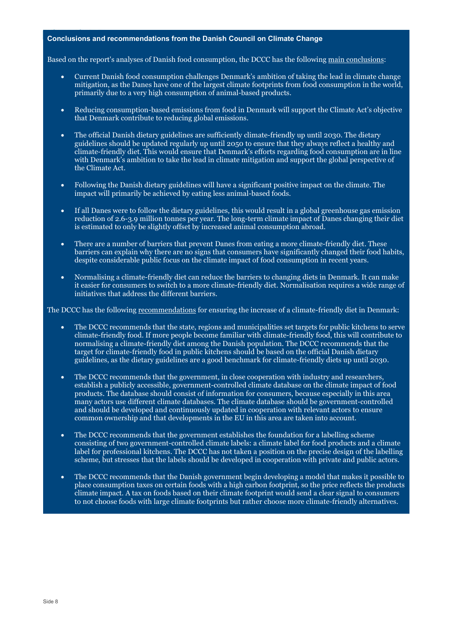#### Conclusions and recommendations from the Danish Council on Climate Change

Based on the report's analyses of Danish food consumption, the DCCC has the following main conclusions:

- Current Danish food consumption challenges Denmark's ambition of taking the lead in climate change mitigation, as the Danes have one of the largest climate footprints from food consumption in the world, primarily due to a very high consumption of animal-based products.
- Reducing consumption-based emissions from food in Denmark will support the Climate Act's objective that Denmark contribute to reducing global emissions.
- The official Danish dietary guidelines are sufficiently climate-friendly up until 2030. The dietary guidelines should be updated regularly up until 2050 to ensure that they always reflect a healthy and climate-friendly diet. This would ensure that Denmark's efforts regarding food consumption are in line with Denmark's ambition to take the lead in climate mitigation and support the global perspective of the Climate Act.
- Following the Danish dietary guidelines will have a significant positive impact on the climate. The impact will primarily be achieved by eating less animal-based foods.
- If all Danes were to follow the dietary guidelines, this would result in a global greenhouse gas emission reduction of 2.6-3.9 million tonnes per year. The long-term climate impact of Danes changing their diet is estimated to only be slightly offset by increased animal consumption abroad.
- There are a number of barriers that prevent Danes from eating a more climate-friendly diet. These barriers can explain why there are no signs that consumers have significantly changed their food habits, despite considerable public focus on the climate impact of food consumption in recent years.
- Normalising a climate-friendly diet can reduce the barriers to changing diets in Denmark. It can make it easier for consumers to switch to a more climate-friendly diet. Normalisation requires a wide range of initiatives that address the different barriers.

The DCCC has the following recommendations for ensuring the increase of a climate-friendly diet in Denmark:

- The DCCC recommends that the state, regions and municipalities set targets for public kitchens to serve climate-friendly food. If more people become familiar with climate-friendly food, this will contribute to normalising a climate-friendly diet among the Danish population. The DCCC recommends that the target for climate-friendly food in public kitchens should be based on the official Danish dietary guidelines, as the dietary guidelines are a good benchmark for climate-friendly diets up until 2030.
- The DCCC recommends that the government, in close cooperation with industry and researchers, establish a publicly accessible, government-controlled climate database on the climate impact of food products. The database should consist of information for consumers, because especially in this area many actors use different climate databases. The climate database should be government-controlled and should be developed and continuously updated in cooperation with relevant actors to ensure common ownership and that developments in the EU in this area are taken into account.
- The DCCC recommends that the government establishes the foundation for a labelling scheme consisting of two government-controlled climate labels: a climate label for food products and a climate label for professional kitchens. The DCCC has not taken a position on the precise design of the labelling scheme, but stresses that the labels should be developed in cooperation with private and public actors.
- The DCCC recommends that the Danish government begin developing a model that makes it possible to place consumption taxes on certain foods with a high carbon footprint, so the price reflects the products climate impact. A tax on foods based on their climate footprint would send a clear signal to consumers to not choose foods with large climate footprints but rather choose more climate-friendly alternatives.